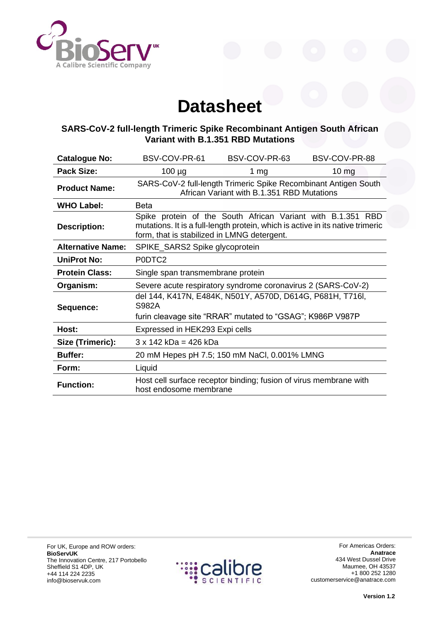

## **Datasheet**

## **SARS-CoV-2 full-length Trimeric Spike Recombinant Antigen South African Variant with B.1.351 RBD Mutations**

| <b>Catalogue No:</b>     | BSV-COV-PR-61                                                                                                                                                                                | BSV-COV-PR-63                                                     | BSV-COV-PR-88 |
|--------------------------|----------------------------------------------------------------------------------------------------------------------------------------------------------------------------------------------|-------------------------------------------------------------------|---------------|
| <b>Pack Size:</b>        | $100 \mu g$                                                                                                                                                                                  | 1 $mg$                                                            | $10 \, mg$    |
| <b>Product Name:</b>     | SARS-CoV-2 full-length Trimeric Spike Recombinant Antigen South<br>African Variant with B.1.351 RBD Mutations                                                                                |                                                                   |               |
| <b>WHO Label:</b>        | <b>Beta</b>                                                                                                                                                                                  |                                                                   |               |
| <b>Description:</b>      | Spike protein of the South African Variant with B.1.351 RBD<br>mutations. It is a full-length protein, which is active in its native trimeric<br>form, that is stabilized in LMNG detergent. |                                                                   |               |
| <b>Alternative Name:</b> | SPIKE_SARS2 Spike glycoprotein                                                                                                                                                               |                                                                   |               |
| <b>UniProt No:</b>       | P0DTC2                                                                                                                                                                                       |                                                                   |               |
| <b>Protein Class:</b>    | Single span transmembrane protein                                                                                                                                                            |                                                                   |               |
| Organism:                | Severe acute respiratory syndrome coronavirus 2 (SARS-CoV-2)                                                                                                                                 |                                                                   |               |
| Sequence:                | del 144, K417N, E484K, N501Y, A570D, D614G, P681H, T716I,<br>S982A                                                                                                                           |                                                                   |               |
|                          | furin cleavage site "RRAR" mutated to "GSAG"; K986P V987P                                                                                                                                    |                                                                   |               |
| Host:                    | Expressed in HEK293 Expi cells                                                                                                                                                               |                                                                   |               |
| Size (Trimeric):         | $3 \times 142$ kDa = 426 kDa                                                                                                                                                                 |                                                                   |               |
| <b>Buffer:</b>           | 20 mM Hepes pH 7.5; 150 mM NaCl, 0.001% LMNG                                                                                                                                                 |                                                                   |               |
| Form:                    | Liquid                                                                                                                                                                                       |                                                                   |               |
| <b>Function:</b>         | host endosome membrane                                                                                                                                                                       | Host cell surface receptor binding; fusion of virus membrane with |               |